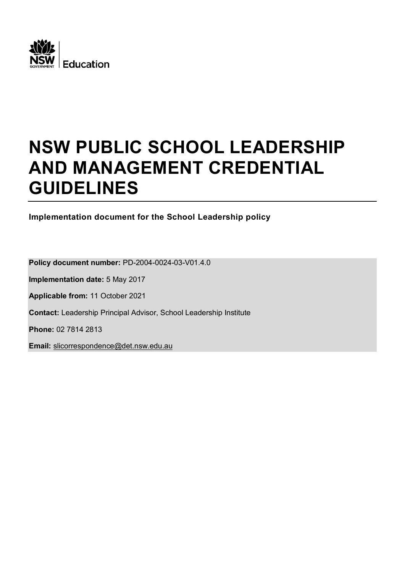

# **NSW PUBLIC SCHOOL LEADERSHIP AND MANAGEMENT CREDENTIAL GUIDELINES**

**Implementation document for the School Leadership policy**

**Policy document number:** PD-2004-0024-03-V01.4.0 **Implementation date:** 5 May 2017 **Applicable from:** 11 October 2021 **Contact:** Leadership Principal Advisor, School Leadership Institute **Phone:** 02 7814 2813 **Email:** slicorrespondence@det.nsw.edu.au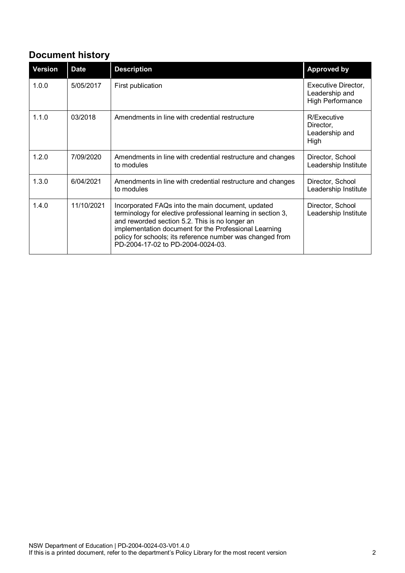# **Document history**

| <b>Version</b> | <b>Date</b> | <b>Description</b>                                                                                                                                                                                                                                                                                                             | <b>Approved by</b>                                               |
|----------------|-------------|--------------------------------------------------------------------------------------------------------------------------------------------------------------------------------------------------------------------------------------------------------------------------------------------------------------------------------|------------------------------------------------------------------|
| 1.0.0          | 5/05/2017   | First publication                                                                                                                                                                                                                                                                                                              | Executive Director,<br>Leadership and<br><b>High Performance</b> |
| 1.1.0          | 03/2018     | Amendments in line with credential restructure                                                                                                                                                                                                                                                                                 | R/Executive<br>Director,<br>Leadership and<br>High               |
| 1.2.0          | 7/09/2020   | Amendments in line with credential restructure and changes<br>to modules                                                                                                                                                                                                                                                       | Director, School<br>Leadership Institute                         |
| 1.3.0          | 6/04/2021   | Amendments in line with credential restructure and changes<br>to modules                                                                                                                                                                                                                                                       | Director, School<br>Leadership Institute                         |
| 1.4.0          | 11/10/2021  | Incorporated FAQs into the main document, updated<br>terminology for elective professional learning in section 3,<br>and reworded section 5.2. This is no longer an<br>implementation document for the Professional Learning<br>policy for schools; its reference number was changed from<br>PD-2004-17-02 to PD-2004-0024-03. | Director, School<br>Leadership Institute                         |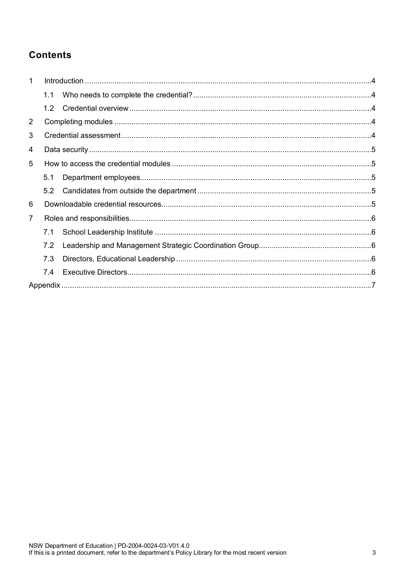# **Contents**

| $\mathbf{1}$ |     |  |  |  |  |  |
|--------------|-----|--|--|--|--|--|
|              | 1.1 |  |  |  |  |  |
|              | 1.2 |  |  |  |  |  |
| 2            |     |  |  |  |  |  |
| 3            |     |  |  |  |  |  |
| 4            |     |  |  |  |  |  |
| 5            |     |  |  |  |  |  |
|              | 5.1 |  |  |  |  |  |
|              | 5.2 |  |  |  |  |  |
| 6            |     |  |  |  |  |  |
| 7            |     |  |  |  |  |  |
|              | 7.1 |  |  |  |  |  |
|              | 7.2 |  |  |  |  |  |
|              | 7.3 |  |  |  |  |  |
|              | 7.4 |  |  |  |  |  |
|              |     |  |  |  |  |  |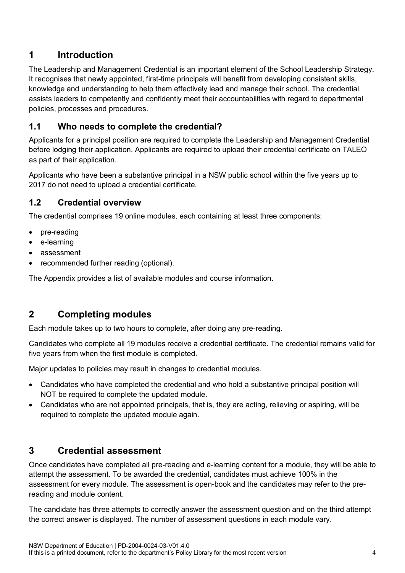## <span id="page-3-0"></span>**1 Introduction**

The Leadership and Management Credential is an important element of the School Leadership Strategy. It recognises that newly appointed, first-time principals will benefit from developing consistent skills, knowledge and understanding to help them effectively lead and manage their school. The credential assists leaders to competently and confidently meet their accountabilities with regard to departmental policies, processes and procedures.

#### <span id="page-3-1"></span>**1.1 Who needs to complete the credential?**

Applicants for a principal position are required to complete the Leadership and Management Credential before lodging their application. Applicants are required to upload their credential certificate on TALEO as part of their application.

Applicants who have been a substantive principal in a NSW public school within the five years up to 2017 do not need to upload a credential certificate.

#### <span id="page-3-2"></span>**1.2 Credential overview**

The credential comprises 19 online modules, each containing at least three components:

- pre-reading
- e-learning
- assessment
- recommended further reading (optional).

<span id="page-3-3"></span>The Appendix provides a list of available modules and course information.

## **2 Completing modules**

Each module takes up to two hours to complete, after doing any pre-reading.

Candidates who complete all 19 modules receive a credential certificate. The credential remains valid for five years from when the first module is completed.

Major updates to policies may result in changes to credential modules.

- Candidates who have completed the credential and who hold a substantive principal position will NOT be required to complete the updated module.
- Candidates who are not appointed principals, that is, they are acting, relieving or aspiring, will be required to complete the updated module again.

## <span id="page-3-4"></span>**3 Credential assessment**

Once candidates have completed all pre-reading and e-learning content for a module, they will be able to attempt the assessment. To be awarded the credential, candidates must achieve 100% in the assessment for every module. The assessment is open-book and the candidates may refer to the prereading and module content.

The candidate has three attempts to correctly answer the assessment question and on the third attempt the correct answer is displayed. The number of assessment questions in each module vary.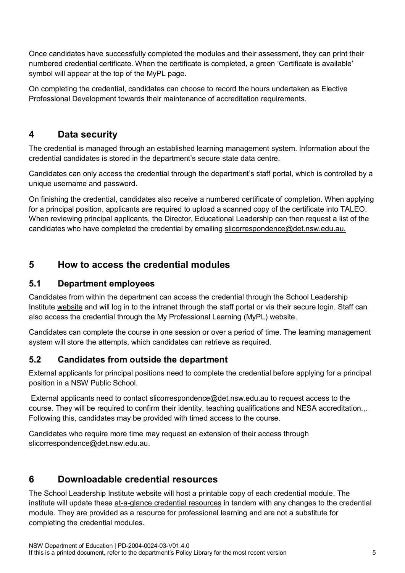Once candidates have successfully completed the modules and their assessment, they can print their numbered credential certificate. When the certificate is completed, a green 'Certificate is available' symbol will appear at the top of the MyPL page.

On completing the credential, candidates can choose to record the hours undertaken as Elective Professional Development towards their maintenance of accreditation requirements.

## <span id="page-4-0"></span>**4 Data security**

The credential is managed through an established learning management system. Information about the credential candidates is stored in the department's secure state data centre.

Candidates can only access the credential through the department's staff portal, which is controlled by a unique username and password.

On finishing the credential, candidates also receive a numbered certificate of completion. When applying for a principal position, applicants are required to upload a scanned copy of the certificate into TALEO. When reviewing principal applicants, the Director, Educational Leadership can then request a list of the candidates who have completed the credential by emailing slicorrespondence@det.nsw.edu.au.

## <span id="page-4-1"></span>**5 How to access the credential modules**

#### <span id="page-4-2"></span>**5.1 Department employees**

Candidates from within the department can access the credential through the School Leadership Institute [website](https://education.nsw.gov.au/teaching-and-learning/school-leadership-institute) and will log in to the intranet through the staff portal or via their secure login. Staff can also access the credential through the My Professional Learning (MyPL) website.

Candidates can complete the course in one session or over a period of time. The learning management system will store the attempts, which candidates can retrieve as required.

#### <span id="page-4-3"></span>**5.2 Candidates from outside the department**

External applicants for principal positions need to complete the credential before applying for a principal position in a NSW Public School.

External applicants need to contact [slicorrespondence@det.nsw.edu.au](file://DETNSW.WIN/DATA/Schools-Leadership-Institute/CREDENTIAL/0.2%20CREDENTIAL%20GUIDELINES/slicorrespondence@det.nsw.edu.au) to request access to the course. They will be required to confirm their identity, teaching qualifications and NESA accreditation.,. Following this, candidates may be provided with timed access to the course.

Candidates who require more time may request an extension of their access through [slicorrespondence@det.nsw.edu.au.](file://DETNSW.WIN/DATA/Schools-Leadership-Institute/CREDENTIAL/0.2%20CREDENTIAL%20GUIDELINES/slicorrespondence@det.nsw.edu.au)

## <span id="page-4-4"></span>**6 Downloadable credential resources**

The School Leadership Institute website will host a printable copy of each credential module. The institute will update these [at-a-glance credential resources](https://education.nsw.gov.au/leadership-pathways/leadership-roles/principal/at-a-glance) in tandem with any changes to the credential module. They are provided as a resource for professional learning and are not a substitute for completing the credential modules.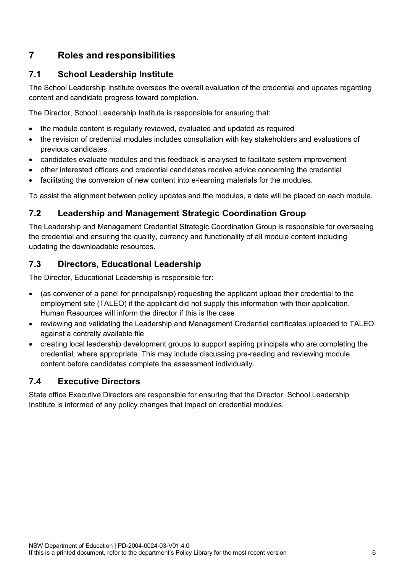## <span id="page-5-0"></span>**7 Roles and responsibilities**

#### <span id="page-5-1"></span>**7.1 School Leadership Institute**

The School Leadership Institute oversees the overall evaluation of the credential and updates regarding content and candidate progress toward completion.

The Director, School Leadership Institute is responsible for ensuring that:

- the module content is regularly reviewed, evaluated and updated as required
- the revision of credential modules includes consultation with key stakeholders and evaluations of previous candidates.
- candidates evaluate modules and this feedback is analysed to facilitate system improvement
- other interested officers and credential candidates receive advice concerning the credential
- facilitating the conversion of new content into e-learning materials for the modules.

To assist the alignment between policy updates and the modules, a date will be placed on each module.

#### <span id="page-5-2"></span>**7.2 Leadership and Management Strategic Coordination Group**

The Leadership and Management Credential Strategic Coordination Group is responsible for overseeing the credential and ensuring the quality, currency and functionality of all module content including updating the downloadable resources.

#### <span id="page-5-3"></span>**7.3 Directors, Educational Leadership**

The Director, Educational Leadership is responsible for:

- (as convener of a panel for principalship) requesting the applicant upload their credential to the employment site (TALEO) if the applicant did not supply this information with their application. Human Resources will inform the director if this is the case
- reviewing and validating the Leadership and Management Credential certificates uploaded to TALEO against a centrally available file
- creating local leadership development groups to support aspiring principals who are completing the credential, where appropriate. This may include discussing pre-reading and reviewing module content before candidates complete the assessment individually.

#### <span id="page-5-4"></span>**7.4 Executive Directors**

State office Executive Directors are responsible for ensuring that the Director, School Leadership Institute is informed of any policy changes that impact on credential modules.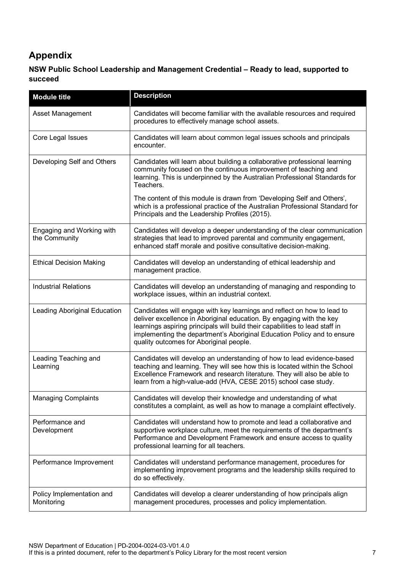# <span id="page-6-0"></span>**Appendix**

#### **NSW Public School Leadership and Management Credential – Ready to lead, supported to succeed**

| <b>Module title</b>                        | <b>Description</b>                                                                                                                                                                                                                                                                                                                                    |
|--------------------------------------------|-------------------------------------------------------------------------------------------------------------------------------------------------------------------------------------------------------------------------------------------------------------------------------------------------------------------------------------------------------|
| <b>Asset Management</b>                    | Candidates will become familiar with the available resources and required<br>procedures to effectively manage school assets.                                                                                                                                                                                                                          |
| Core Legal Issues                          | Candidates will learn about common legal issues schools and principals<br>encounter.                                                                                                                                                                                                                                                                  |
| Developing Self and Others                 | Candidates will learn about building a collaborative professional learning<br>community focused on the continuous improvement of teaching and<br>learning. This is underpinned by the Australian Professional Standards for<br>Teachers.                                                                                                              |
|                                            | The content of this module is drawn from 'Developing Self and Others',<br>which is a professional practice of the Australian Professional Standard for<br>Principals and the Leadership Profiles (2015).                                                                                                                                              |
| Engaging and Working with<br>the Community | Candidates will develop a deeper understanding of the clear communication<br>strategies that lead to improved parental and community engagement,<br>enhanced staff morale and positive consultative decision-making.                                                                                                                                  |
| <b>Ethical Decision Making</b>             | Candidates will develop an understanding of ethical leadership and<br>management practice.                                                                                                                                                                                                                                                            |
| <b>Industrial Relations</b>                | Candidates will develop an understanding of managing and responding to<br>workplace issues, within an industrial context.                                                                                                                                                                                                                             |
| <b>Leading Aboriginal Education</b>        | Candidates will engage with key learnings and reflect on how to lead to<br>deliver excellence in Aboriginal education. By engaging with the key<br>learnings aspiring principals will build their capabilities to lead staff in<br>implementing the department's Aboriginal Education Policy and to ensure<br>quality outcomes for Aboriginal people. |
| Leading Teaching and<br>Learning           | Candidates will develop an understanding of how to lead evidence-based<br>teaching and learning. They will see how this is located within the School<br>Excellence Framework and research literature. They will also be able to<br>learn from a high-value-add (HVA, CESE 2015) school case study.                                                    |
| <b>Managing Complaints</b>                 | Candidates will develop their knowledge and understanding of what<br>constitutes a complaint, as well as how to manage a complaint effectively.                                                                                                                                                                                                       |
| Performance and<br>Development             | Candidates will understand how to promote and lead a collaborative and<br>supportive workplace culture, meet the requirements of the department's<br>Performance and Development Framework and ensure access to quality<br>professional learning for all teachers.                                                                                    |
| Performance Improvement                    | Candidates will understand performance management, procedures for<br>implementing improvement programs and the leadership skills required to<br>do so effectively.                                                                                                                                                                                    |
| Policy Implementation and<br>Monitoring    | Candidates will develop a clearer understanding of how principals align<br>management procedures, processes and policy implementation.                                                                                                                                                                                                                |